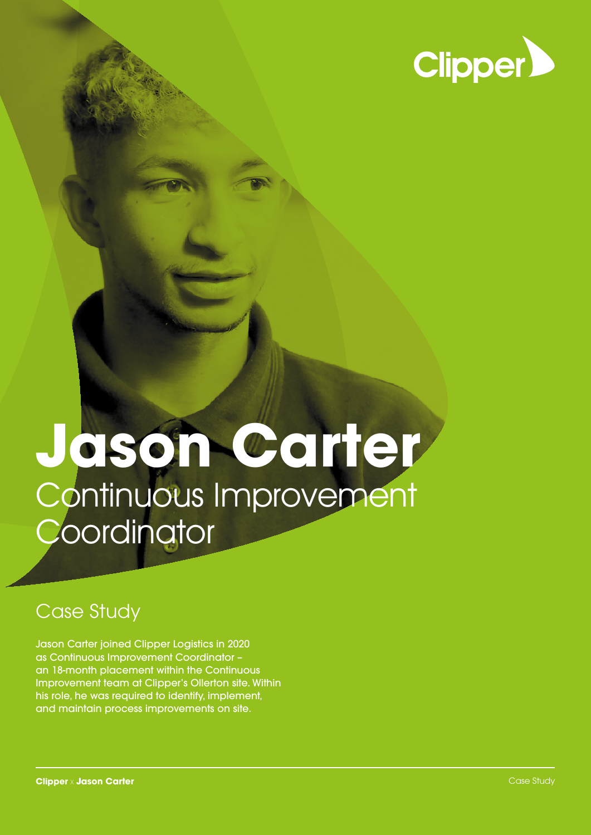

# **Jason Carter** Continuous Improvement **Coordinator**

# Case Study

Jason Carter joined Clipper Logistics in 2020 as Continuous Improvement Coordinator – an 18-month placement within the Continuous Improvement team at Clipper's Ollerton site. Within his role, he was required to identify, implement, and maintain process improvements on site.